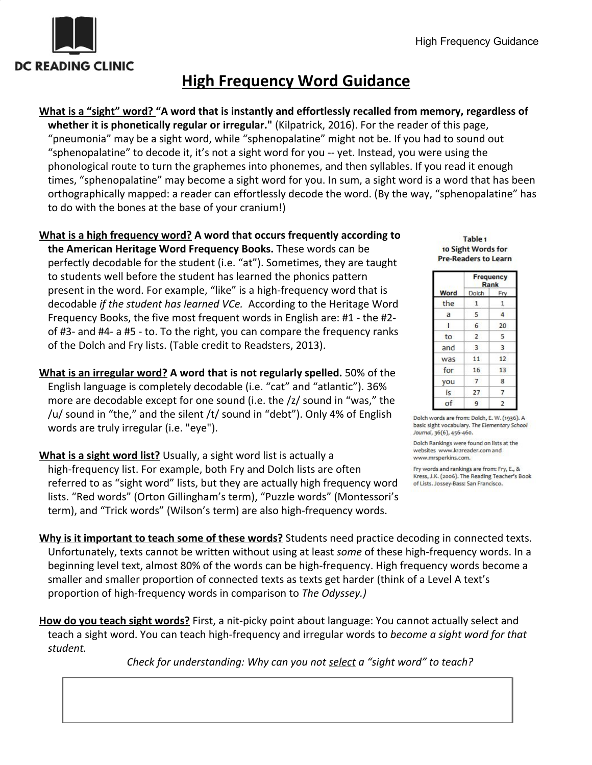

# **High Frequency Word Guidance**

**What is a "sight" word? "A word that is instantly and effortlessly recalled from memory, regardless of**

**whether it is phonetically regular or irregular."** (Kilpatrick, 2016). For the reader of this page, "pneumonia" may be a sight word, while "sphenopalatine" might not be. If you had to sound out "sphenopalatine" to decode it, it's not a sight word for you -- yet. Instead, you were using the phonological route to turn the graphemes into phonemes, and then syllables. If you read it enough times, "sphenopalatine" may become a sight word for you. In sum, a sight word is a word that has been orthographically mapped: a reader can effortlessly decode the word. (By the way, "sphenopalatine" has to do with the bones at the base of your cranium!)

#### **What is a high frequency word? A word that occurs frequently according to**

**the American Heritage Word Frequency Books.** These words can be perfectly decodable for the student (i.e. "at"). Sometimes, they are taught to students well before the student has learned the phonics pattern present in the word. For example, "like" is a high-frequency word that is decodable *if the student has learned VCe.* According to the Heritage Word Frequency Books, the five most frequent words in English are: #1 - the #2 of #3- and #4- a #5 - to. To the right, you can compare the frequency ranks of the Dolch and Fry lists. (Table credit to Readsters, 2013).

**What is an irregular word? A word that is not regularly spelled.** 50% of the English language is completely decodable (i.e. "cat" and "atlantic"). 36% more are decodable except for one sound (i.e. the /z/ sound in "was," the /u/ sound in "the," and the silent /t/ sound in "debt"). Only 4% of English words are truly irregular (i.e. "eye").

**What is a sight word list?** Usually, a sight word list is actually a high-frequency list. For example, both Fry and Dolch lists are often referred to as "sight word" lists, but they are actually high frequency word lists. "Red words" (Orton Gillingham's term), "Puzzle words" (Montessori's term), and "Trick words" (Wilson's term) are also high-frequency words.

Table<sub>1</sub> 10 Sight Words for **Pre-Readers to Learn** 

| Word | Frequency<br>Rank |                |
|------|-------------------|----------------|
|      | Dolch             | Fry            |
| the  | $\mathbf{1}$      | $\mathbf{1}$   |
| a    | 5                 | 4              |
| Ŧ    | 6                 | 20             |
| to   | $\overline{2}$    | 5              |
| and  | 3                 | 3              |
| was  | 11                | 12             |
| for  | 16                | 13             |
| you  | 7                 | 8              |
| is   | 27                | $\overline{7}$ |
| of   | 9                 | $\overline{2}$ |

Dolch words are from: Dolch, E. W. (1936). A basic sight vocabulary. The Elementary School Journal, 36(6), 456-460.

Dolch Rankings were found on lists at the websites www.kt2reader.com and www.mrsperkins.com.

Fry words and rankings are from: Fry, E., & Kress, J.K. (2006). The Reading Teacher's Book of Lists. Jossey-Bass: San Francisco.

**Why is it important to teach some of these words?** Students need practice decoding in connected texts. Unfortunately, texts cannot be written without using at least *some* of these high-frequency words. In a beginning level text, almost 80% of the words can be high-frequency. High frequency words become a smaller and smaller proportion of connected texts as texts get harder (think of a Level A text's proportion of high-frequency words in comparison to *The Odyssey.)*

**How do you teach sight words?** First, a nit-picky point about language: You cannot actually select and teach a sight word. You can teach high-frequency and irregular words to *become a sight word for that student.*

*Check for understanding: Why can you not select a "sight word" to teach?*